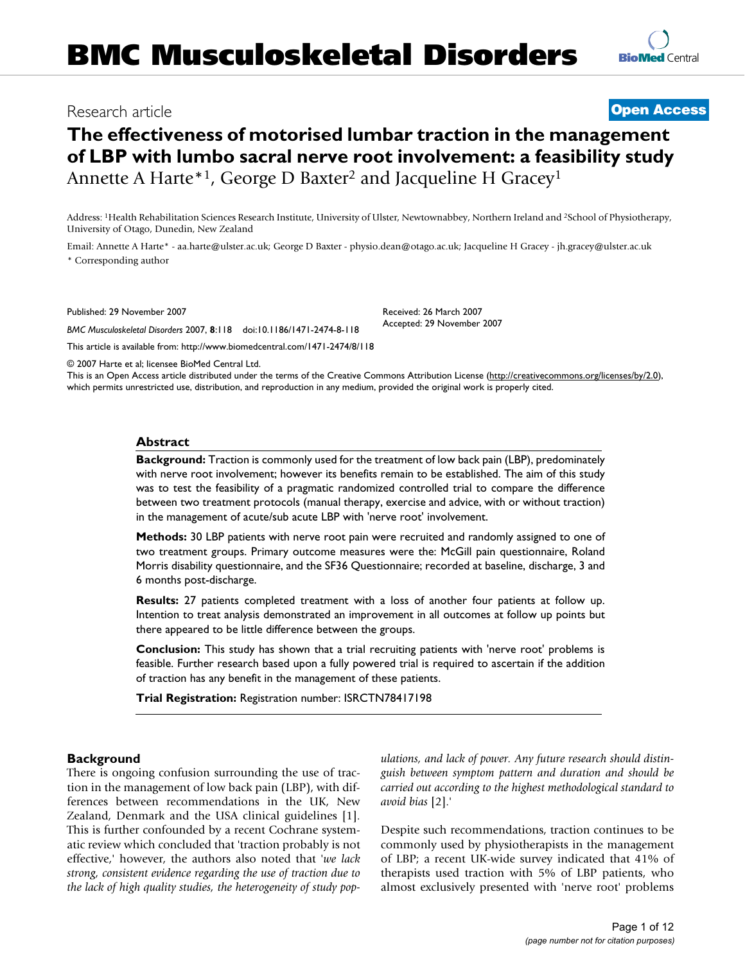# Research article **[Open Access](http://www.biomedcentral.com/info/about/charter/)**

# **The effectiveness of motorised lumbar traction in the management of LBP with lumbo sacral nerve root involvement: a feasibility study** Annette A Harte\*<sup>1</sup>, George D Baxter<sup>2</sup> and Jacqueline H Gracey<sup>1</sup>

Address: <sup>1</sup>Health Rehabilitation Sciences Research Institute, University of Ulster, Newtownabbey, Northern Ireland and <sup>2</sup>School of Physiotherapy, University of Otago, Dunedin, New Zealand

Email: Annette A Harte\* - aa.harte@ulster.ac.uk; George D Baxter - physio.dean@otago.ac.uk; Jacqueline H Gracey - jh.gracey@ulster.ac.uk \* Corresponding author

Published: 29 November 2007

*BMC Musculoskeletal Disorders* 2007, **8**:118 doi:10.1186/1471-2474-8-118

[This article is available from: http://www.biomedcentral.com/1471-2474/8/118](http://www.biomedcentral.com/1471-2474/8/118)

© 2007 Harte et al; licensee BioMed Central Ltd.

This is an Open Access article distributed under the terms of the Creative Commons Attribution License [\(http://creativecommons.org/licenses/by/2.0\)](http://creativecommons.org/licenses/by/2.0), which permits unrestricted use, distribution, and reproduction in any medium, provided the original work is properly cited.

#### **Abstract**

**Background:** Traction is commonly used for the treatment of low back pain (LBP), predominately with nerve root involvement; however its benefits remain to be established. The aim of this study was to test the feasibility of a pragmatic randomized controlled trial to compare the difference between two treatment protocols (manual therapy, exercise and advice, with or without traction) in the management of acute/sub acute LBP with 'nerve root' involvement.

**Methods:** 30 LBP patients with nerve root pain were recruited and randomly assigned to one of two treatment groups. Primary outcome measures were the: McGill pain questionnaire, Roland Morris disability questionnaire, and the SF36 Questionnaire; recorded at baseline, discharge, 3 and 6 months post-discharge.

**Results:** 27 patients completed treatment with a loss of another four patients at follow up. Intention to treat analysis demonstrated an improvement in all outcomes at follow up points but there appeared to be little difference between the groups.

**Conclusion:** This study has shown that a trial recruiting patients with 'nerve root' problems is feasible. Further research based upon a fully powered trial is required to ascertain if the addition of traction has any benefit in the management of these patients.

**Trial Registration:** Registration number: ISRCTN78417198

#### **Background**

There is ongoing confusion surrounding the use of traction in the management of low back pain (LBP), with differences between recommendations in the UK, New Zealand, Denmark and the USA clinical guidelines [1]. This is further confounded by a recent Cochrane systematic review which concluded that 'traction probably is not effective,' however, the authors also noted that '*we lack strong, consistent evidence regarding the use of traction due to the lack of high quality studies, the heterogeneity of study pop-* *ulations, and lack of power. Any future research should distinguish between symptom pattern and duration and should be carried out according to the highest methodological standard to avoid bias* [2].'

Despite such recommendations, traction continues to be commonly used by physiotherapists in the management of LBP; a recent UK-wide survey indicated that 41% of therapists used traction with 5% of LBP patients, who almost exclusively presented with 'nerve root' problems

Received: 26 March 2007 Accepted: 29 November 2007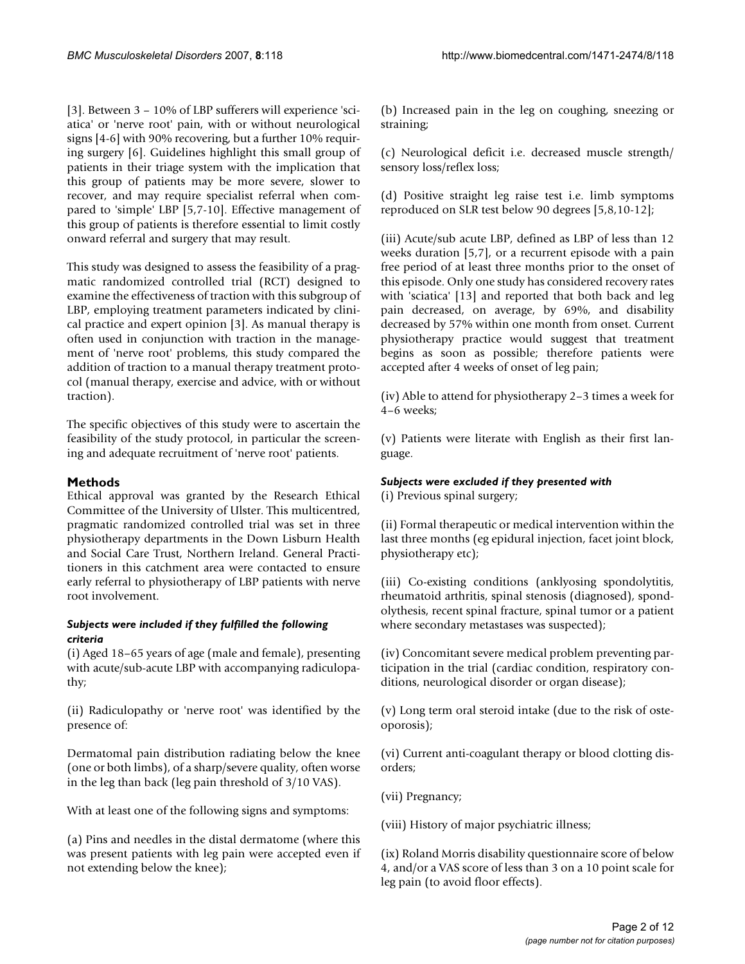[3]. Between 3 – 10% of LBP sufferers will experience 'sciatica' or 'nerve root' pain, with or without neurological signs [4-6] with 90% recovering, but a further 10% requiring surgery [6]. Guidelines highlight this small group of patients in their triage system with the implication that this group of patients may be more severe, slower to recover, and may require specialist referral when compared to 'simple' LBP [5,7-10]. Effective management of this group of patients is therefore essential to limit costly onward referral and surgery that may result.

This study was designed to assess the feasibility of a pragmatic randomized controlled trial (RCT) designed to examine the effectiveness of traction with this subgroup of LBP, employing treatment parameters indicated by clinical practice and expert opinion [3]. As manual therapy is often used in conjunction with traction in the management of 'nerve root' problems, this study compared the addition of traction to a manual therapy treatment protocol (manual therapy, exercise and advice, with or without traction).

The specific objectives of this study were to ascertain the feasibility of the study protocol, in particular the screening and adequate recruitment of 'nerve root' patients.

# **Methods**

Ethical approval was granted by the Research Ethical Committee of the University of Ulster. This multicentred, pragmatic randomized controlled trial was set in three physiotherapy departments in the Down Lisburn Health and Social Care Trust, Northern Ireland. General Practitioners in this catchment area were contacted to ensure early referral to physiotherapy of LBP patients with nerve root involvement.

#### *Subjects were included if they fulfilled the following criteria*

(i) Aged 18–65 years of age (male and female), presenting with acute/sub-acute LBP with accompanying radiculopathy;

(ii) Radiculopathy or 'nerve root' was identified by the presence of:

Dermatomal pain distribution radiating below the knee (one or both limbs), of a sharp/severe quality, often worse in the leg than back (leg pain threshold of 3/10 VAS).

With at least one of the following signs and symptoms:

(a) Pins and needles in the distal dermatome (where this was present patients with leg pain were accepted even if not extending below the knee);

(b) Increased pain in the leg on coughing, sneezing or straining;

(c) Neurological deficit i.e. decreased muscle strength/ sensory loss/reflex loss;

(d) Positive straight leg raise test i.e. limb symptoms reproduced on SLR test below 90 degrees [5,8,10-12];

(iii) Acute/sub acute LBP, defined as LBP of less than 12 weeks duration [5,7], or a recurrent episode with a pain free period of at least three months prior to the onset of this episode. Only one study has considered recovery rates with 'sciatica' [13] and reported that both back and leg pain decreased, on average, by 69%, and disability decreased by 57% within one month from onset. Current physiotherapy practice would suggest that treatment begins as soon as possible; therefore patients were accepted after 4 weeks of onset of leg pain;

(iv) Able to attend for physiotherapy 2–3 times a week for 4–6 weeks;

(v) Patients were literate with English as their first language.

# *Subjects were excluded if they presented with*

(i) Previous spinal surgery;

(ii) Formal therapeutic or medical intervention within the last three months (eg epidural injection, facet joint block, physiotherapy etc);

(iii) Co-existing conditions (anklyosing spondolytitis, rheumatoid arthritis, spinal stenosis (diagnosed), spondolythesis, recent spinal fracture, spinal tumor or a patient where secondary metastases was suspected);

(iv) Concomitant severe medical problem preventing participation in the trial (cardiac condition, respiratory conditions, neurological disorder or organ disease);

(v) Long term oral steroid intake (due to the risk of osteoporosis);

(vi) Current anti-coagulant therapy or blood clotting disorders;

(vii) Pregnancy;

(viii) History of major psychiatric illness;

(ix) Roland Morris disability questionnaire score of below 4, and/or a VAS score of less than 3 on a 10 point scale for leg pain (to avoid floor effects).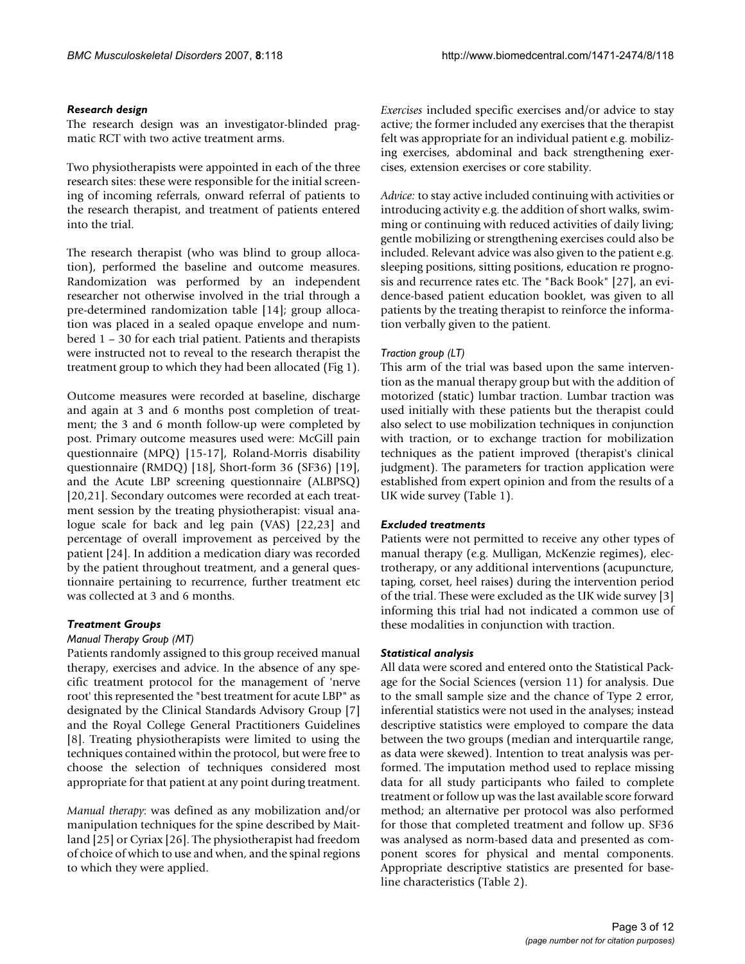#### *Research design*

The research design was an investigator-blinded pragmatic RCT with two active treatment arms.

Two physiotherapists were appointed in each of the three research sites: these were responsible for the initial screening of incoming referrals, onward referral of patients to the research therapist, and treatment of patients entered into the trial.

The research therapist (who was blind to group allocation), performed the baseline and outcome measures. Randomization was performed by an independent researcher not otherwise involved in the trial through a pre-determined randomization table [14]; group allocation was placed in a sealed opaque envelope and numbered 1 – 30 for each trial patient. Patients and therapists were instructed not to reveal to the research therapist the treatment group to which they had been allocated (Fig 1).

Outcome measures were recorded at baseline, discharge and again at 3 and 6 months post completion of treatment; the 3 and 6 month follow-up were completed by post. Primary outcome measures used were: McGill pain questionnaire (MPQ) [15-17], Roland-Morris disability questionnaire (RMDQ) [18], Short-form 36 (SF36) [19], and the Acute LBP screening questionnaire (ALBPSQ) [20,21]. Secondary outcomes were recorded at each treatment session by the treating physiotherapist: visual analogue scale for back and leg pain (VAS) [22,23] and percentage of overall improvement as perceived by the patient [24]. In addition a medication diary was recorded by the patient throughout treatment, and a general questionnaire pertaining to recurrence, further treatment etc was collected at 3 and 6 months.

#### *Treatment Groups*

#### *Manual Therapy Group (MT)*

Patients randomly assigned to this group received manual therapy, exercises and advice. In the absence of any specific treatment protocol for the management of 'nerve root' this represented the "best treatment for acute LBP" as designated by the Clinical Standards Advisory Group [7] and the Royal College General Practitioners Guidelines [8]. Treating physiotherapists were limited to using the techniques contained within the protocol, but were free to choose the selection of techniques considered most appropriate for that patient at any point during treatment.

*Manual therapy*: was defined as any mobilization and/or manipulation techniques for the spine described by Maitland [25] or Cyriax [26]. The physiotherapist had freedom of choice of which to use and when, and the spinal regions to which they were applied.

*Exercises* included specific exercises and/or advice to stay active; the former included any exercises that the therapist felt was appropriate for an individual patient e.g. mobilizing exercises, abdominal and back strengthening exercises, extension exercises or core stability.

*Advice:* to stay active included continuing with activities or introducing activity e.g. the addition of short walks, swimming or continuing with reduced activities of daily living; gentle mobilizing or strengthening exercises could also be included. Relevant advice was also given to the patient e.g. sleeping positions, sitting positions, education re prognosis and recurrence rates etc. The "Back Book" [27], an evidence-based patient education booklet, was given to all patients by the treating therapist to reinforce the information verbally given to the patient.

#### *Traction group (LT)*

This arm of the trial was based upon the same intervention as the manual therapy group but with the addition of motorized (static) lumbar traction. Lumbar traction was used initially with these patients but the therapist could also select to use mobilization techniques in conjunction with traction, or to exchange traction for mobilization techniques as the patient improved (therapist's clinical judgment). The parameters for traction application were established from expert opinion and from the results of a UK wide survey (Table 1).

#### *Excluded treatments*

Patients were not permitted to receive any other types of manual therapy (e.g. Mulligan, McKenzie regimes), electrotherapy, or any additional interventions (acupuncture, taping, corset, heel raises) during the intervention period of the trial. These were excluded as the UK wide survey [3] informing this trial had not indicated a common use of these modalities in conjunction with traction.

#### *Statistical analysis*

All data were scored and entered onto the Statistical Package for the Social Sciences (version 11) for analysis. Due to the small sample size and the chance of Type 2 error, inferential statistics were not used in the analyses; instead descriptive statistics were employed to compare the data between the two groups (median and interquartile range, as data were skewed). Intention to treat analysis was performed. The imputation method used to replace missing data for all study participants who failed to complete treatment or follow up was the last available score forward method; an alternative per protocol was also performed for those that completed treatment and follow up. SF36 was analysed as norm-based data and presented as component scores for physical and mental components. Appropriate descriptive statistics are presented for baseline characteristics (Table 2).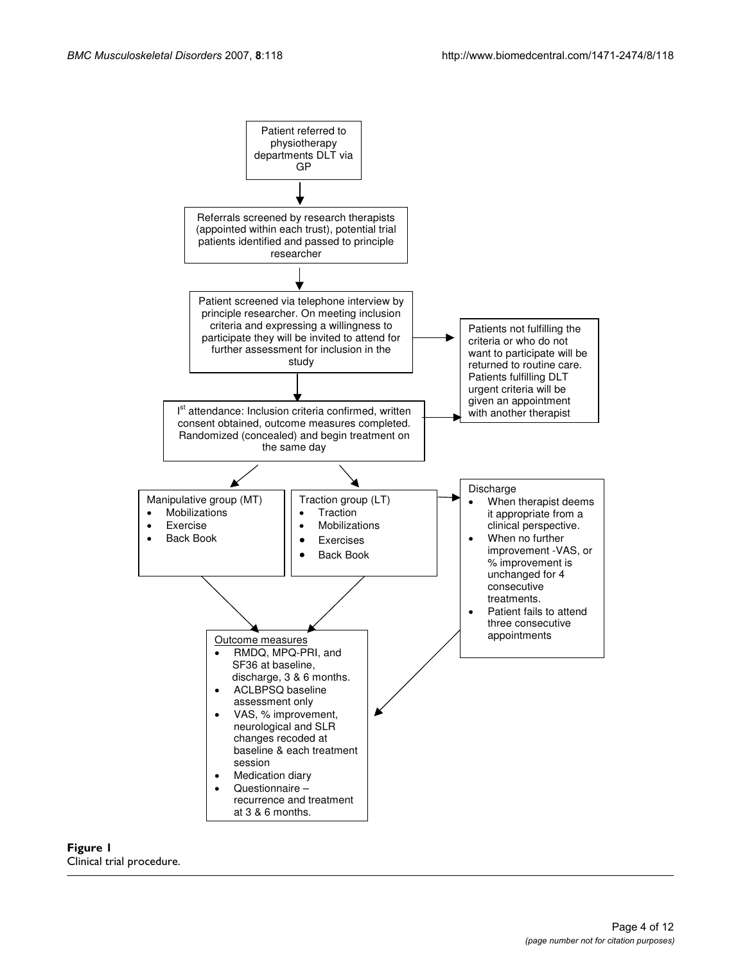

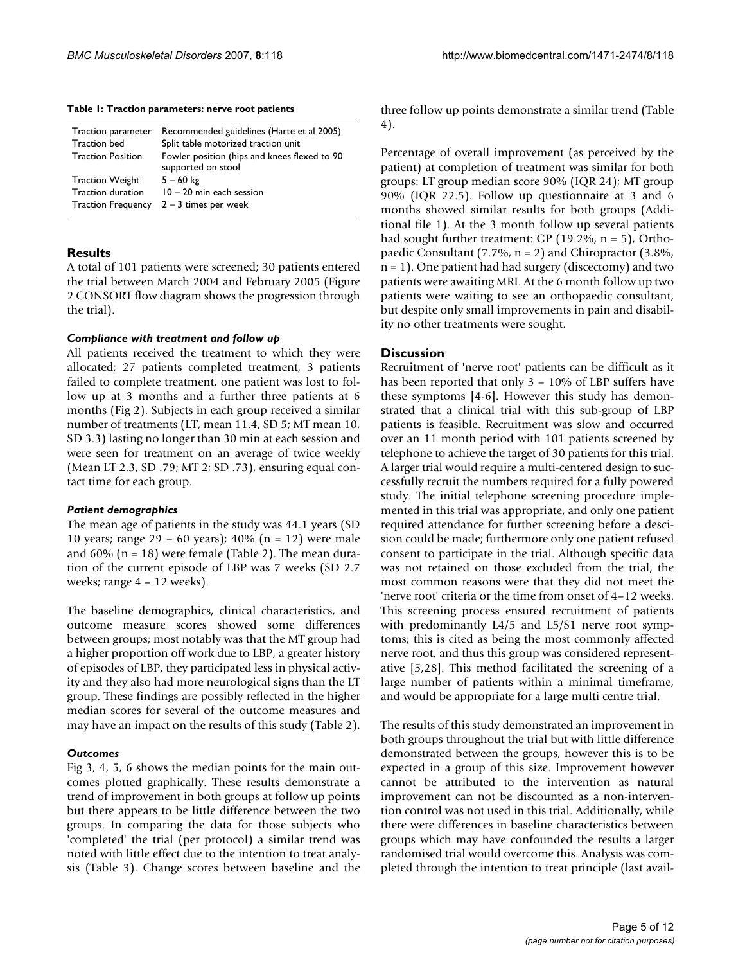**Table 1: Traction parameters: nerve root patients**

| Traction parameter        | Recommended guidelines (Harte et al 2005)                          |
|---------------------------|--------------------------------------------------------------------|
| <b>Traction bed</b>       | Split table motorized traction unit                                |
| <b>Traction Position</b>  | Fowler position (hips and knees flexed to 90<br>supported on stool |
| <b>Traction Weight</b>    | $5 - 60$ kg                                                        |
| Traction duration         | $10 - 20$ min each session                                         |
| <b>Traction Frequency</b> | $2 - 3$ times per week                                             |

## **Results**

A total of 101 patients were screened; 30 patients entered the trial between March 2004 and February 2005 (Figure 2 CONSORT flow diagram shows the progression through the trial).

#### *Compliance with treatment and follow up*

All patients received the treatment to which they were allocated; 27 patients completed treatment, 3 patients failed to complete treatment, one patient was lost to follow up at 3 months and a further three patients at 6 months (Fig 2). Subjects in each group received a similar number of treatments (LT, mean 11.4, SD 5; MT mean 10, SD 3.3) lasting no longer than 30 min at each session and were seen for treatment on an average of twice weekly (Mean LT 2.3, SD .79; MT 2; SD .73), ensuring equal contact time for each group.

## *Patient demographics*

The mean age of patients in the study was 44.1 years (SD 10 years; range 29 – 60 years); 40% (n = 12) were male and  $60\%$  (n = 18) were female (Table 2). The mean duration of the current episode of LBP was 7 weeks (SD 2.7 weeks; range 4 – 12 weeks).

The baseline demographics, clinical characteristics, and outcome measure scores showed some differences between groups; most notably was that the MT group had a higher proportion off work due to LBP, a greater history of episodes of LBP, they participated less in physical activity and they also had more neurological signs than the LT group. These findings are possibly reflected in the higher median scores for several of the outcome measures and may have an impact on the results of this study (Table 2).

## *Outcomes*

Fig 3, 4, 5, 6 shows the median points for the main outcomes plotted graphically. These results demonstrate a trend of improvement in both groups at follow up points but there appears to be little difference between the two groups. In comparing the data for those subjects who 'completed' the trial (per protocol) a similar trend was noted with little effect due to the intention to treat analysis (Table 3). Change scores between baseline and the three follow up points demonstrate a similar trend (Table 4).

Percentage of overall improvement (as perceived by the patient) at completion of treatment was similar for both groups: LT group median score 90% (IQR 24); MT group 90% (IQR 22.5). Follow up questionnaire at 3 and 6 months showed similar results for both groups (Additional file 1). At the 3 month follow up several patients had sought further treatment: GP (19.2%, n = 5), Orthopaedic Consultant (7.7%, n = 2) and Chiropractor (3.8%, n = 1). One patient had had surgery (discectomy) and two patients were awaiting MRI. At the 6 month follow up two patients were waiting to see an orthopaedic consultant, but despite only small improvements in pain and disability no other treatments were sought.

# **Discussion**

Recruitment of 'nerve root' patients can be difficult as it has been reported that only 3 – 10% of LBP suffers have these symptoms [4-6]. However this study has demonstrated that a clinical trial with this sub-group of LBP patients is feasible. Recruitment was slow and occurred over an 11 month period with 101 patients screened by telephone to achieve the target of 30 patients for this trial. A larger trial would require a multi-centered design to successfully recruit the numbers required for a fully powered study. The initial telephone screening procedure implemented in this trial was appropriate, and only one patient required attendance for further screening before a descision could be made; furthermore only one patient refused consent to participate in the trial. Although specific data was not retained on those excluded from the trial, the most common reasons were that they did not meet the 'nerve root' criteria or the time from onset of 4–12 weeks. This screening process ensured recruitment of patients with predominantly L4/5 and L5/S1 nerve root symptoms; this is cited as being the most commonly affected nerve root, and thus this group was considered representative [5,28]. This method facilitated the screening of a large number of patients within a minimal timeframe, and would be appropriate for a large multi centre trial.

The results of this study demonstrated an improvement in both groups throughout the trial but with little difference demonstrated between the groups, however this is to be expected in a group of this size. Improvement however cannot be attributed to the intervention as natural improvement can not be discounted as a non-intervention control was not used in this trial. Additionally, while there were differences in baseline characteristics between groups which may have confounded the results a larger randomised trial would overcome this. Analysis was completed through the intention to treat principle (last avail-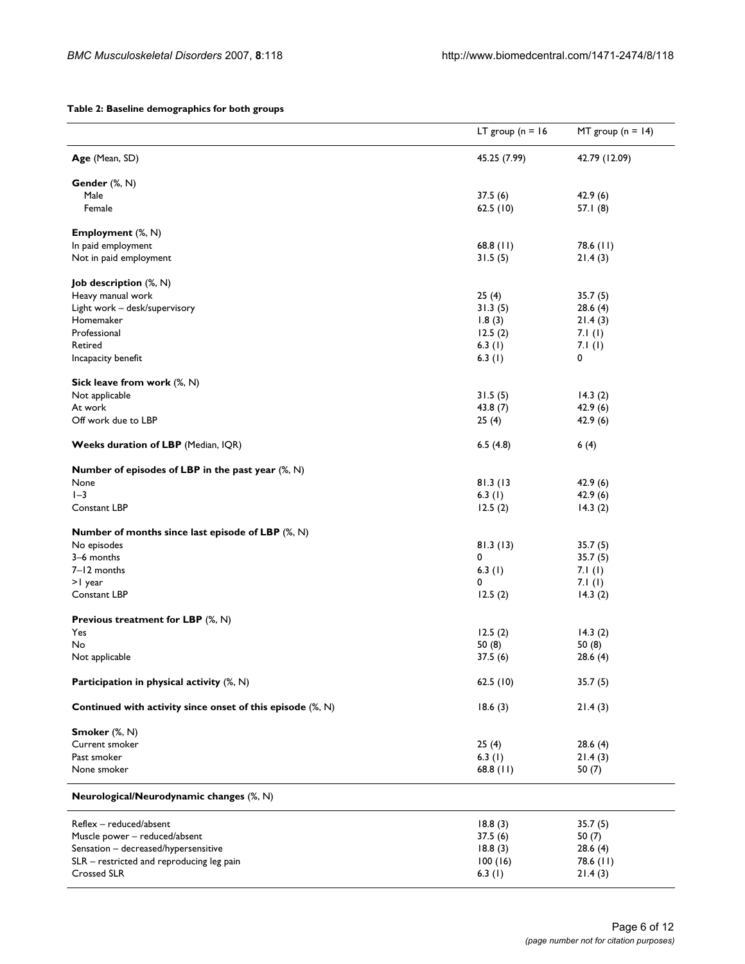#### **Table 2: Baseline demographics for both groups**

|                                                            | LT group ( $n = 16$ | MT group $(n = 14)$ |
|------------------------------------------------------------|---------------------|---------------------|
| Age (Mean, SD)                                             | 45.25 (7.99)        | 42.79 (12.09)       |
| Gender (%, N)                                              |                     |                     |
| Male                                                       | 37.5(6)             | 42.9(6)             |
| Female                                                     | 62.5(10)            | 57.1(8)             |
| <b>Employment</b> (%, N)                                   |                     |                     |
| In paid employment                                         | $68.8$ (11)         | $78.6$ (11)         |
| Not in paid employment                                     | 31.5(5)             | 21.4(3)             |
| <b>Job description</b> (%, N)                              |                     |                     |
| Heavy manual work                                          | 25(4)               | 35.7(5)             |
| Light work - desk/supervisory                              | 31.3(5)             | 28.6(4)             |
| Homemaker                                                  | 1.8(3)              | 21.4(3)             |
| Professional                                               | 12.5(2)             | 7.I $(1)$           |
| Retired                                                    | 6.3 $(1)$           | 7.I $(I)$           |
| Incapacity benefit                                         | 6.3(1)              | 0                   |
| Sick leave from work (%, N)                                |                     |                     |
| Not applicable                                             | 31.5(5)             | 14.3(2)             |
| At work                                                    | 43.8(7)             | 42.9(6)             |
| Off work due to LBP                                        | 25(4)               | 42.9(6)             |
| Weeks duration of LBP (Median, IQR)                        | 6.5(4.8)            | 6(4)                |
| Number of episodes of LBP in the past year $(\%, N)$       |                     |                     |
| None                                                       | 81.3 (13            | 42.9(6)             |
| $I-3$                                                      | 6.3 $(1)$           | 42.9(6)             |
| Constant LBP                                               | 12.5(2)             | 14.3(2)             |
| Number of months since last episode of LBP $(\%, N)$       |                     |                     |
| No episodes                                                | 81.3(13)            | 35.7(5)             |
| 3-6 months                                                 | 0                   | 35.7(5)             |
| 7-12 months                                                | 6.3(1)              | 7.I $(I)$           |
| >1 year                                                    | 0                   | 7.1(1)              |
| Constant LBP                                               | 12.5(2)             | 14.3(2)             |
| Previous treatment for LBP $(\%, N)$                       |                     |                     |
| Yes                                                        | 12.5(2)             | 14.3(2)             |
| No                                                         | 50(8)               | 50(8)               |
| Not applicable                                             | 37.5(6)             | 28.6(4)             |
| Participation in physical activity (%, N)                  | 62.5(10)            | 35.7(5)             |
| Continued with activity since onset of this episode (%, N) | 18.6(3)             | 21.4(3)             |
| Smoker (%, N)                                              |                     |                     |
| Current smoker                                             | 25(4)               | 28.6(4)             |
| Past smoker                                                | 6.3 $(1)$           | 21.4(3)             |
| None smoker                                                | 68.8 $(11)$         | 50 $(7)$            |
| Neurological/Neurodynamic changes (%, N)                   |                     |                     |
| Reflex - reduced/absent                                    | 18.8(3)             | 35.7(5)             |
| Muscle power - reduced/absent                              | 37.5(6)             | 50(7)               |
| Sensation - decreased/hypersensitive                       | 18.8(3)             | 28.6(4)             |
| SLR - restricted and reproducing leg pain                  | 100(16)             | 78.6 (11)           |
| Crossed SLR                                                | 6.3 $(1)$           | 21.4(3)             |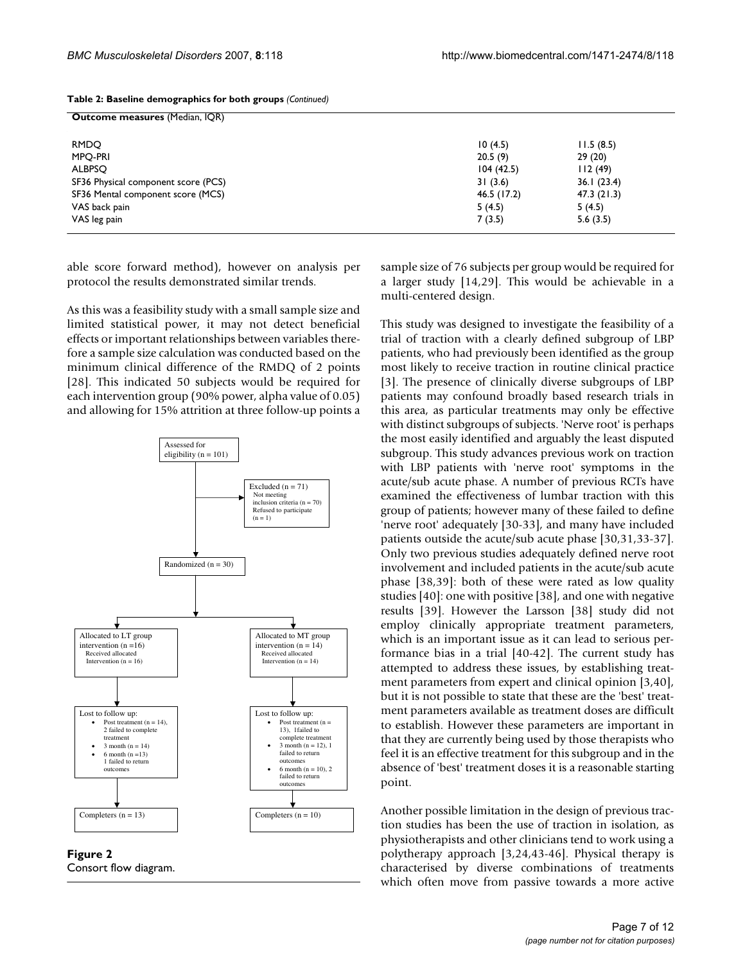| Outcome measures (Median, IQR) |            |  |  |
|--------------------------------|------------|--|--|
| 10(4.5)                        | 11.5(8.5)  |  |  |
| 20.5(9)                        | 29(20)     |  |  |
| 104(42.5)                      | 112(49)    |  |  |
| 31(3.6)                        | 36.1(23.4) |  |  |
| 46.5(17.2)                     | 47.3(21.3) |  |  |
| 5(4.5)                         | 5(4.5)     |  |  |
| 7(3.5)                         | 5.6(3.5)   |  |  |
|                                |            |  |  |

| Table 2: Baseline demographics for both groups (Continued) |  |  |
|------------------------------------------------------------|--|--|
|------------------------------------------------------------|--|--|

able score forward method), however on analysis per protocol the results demonstrated similar trends.

As this was a feasibility study with a small sample size and limited statistical power, it may not detect beneficial effects or important relationships between variables therefore a sample size calculation was conducted based on the minimum clinical difference of the RMDQ of 2 points [28]. This indicated 50 subjects would be required for each intervention group (90% power, alpha value of 0.05) and allowing for 15% attrition at three follow-up points a



**Figure 2** Consort flow diagram.

sample size of 76 subjects per group would be required for a larger study [14,29]. This would be achievable in a multi-centered design.

This study was designed to investigate the feasibility of a trial of traction with a clearly defined subgroup of LBP patients, who had previously been identified as the group most likely to receive traction in routine clinical practice [3]. The presence of clinically diverse subgroups of LBP patients may confound broadly based research trials in this area, as particular treatments may only be effective with distinct subgroups of subjects. 'Nerve root' is perhaps the most easily identified and arguably the least disputed subgroup. This study advances previous work on traction with LBP patients with 'nerve root' symptoms in the acute/sub acute phase. A number of previous RCTs have examined the effectiveness of lumbar traction with this group of patients; however many of these failed to define 'nerve root' adequately [30-33], and many have included patients outside the acute/sub acute phase [30,31,33-37]. Only two previous studies adequately defined nerve root involvement and included patients in the acute/sub acute phase [38,39]: both of these were rated as low quality studies [40]: one with positive [38], and one with negative results [39]. However the Larsson [38] study did not employ clinically appropriate treatment parameters, which is an important issue as it can lead to serious performance bias in a trial [40-42]. The current study has attempted to address these issues, by establishing treatment parameters from expert and clinical opinion [3,40], but it is not possible to state that these are the 'best' treatment parameters available as treatment doses are difficult to establish. However these parameters are important in that they are currently being used by those therapists who feel it is an effective treatment for this subgroup and in the absence of 'best' treatment doses it is a reasonable starting point.

Another possible limitation in the design of previous traction studies has been the use of traction in isolation, as physiotherapists and other clinicians tend to work using a polytherapy approach [3,24,43-46]. Physical therapy is characterised by diverse combinations of treatments which often move from passive towards a more active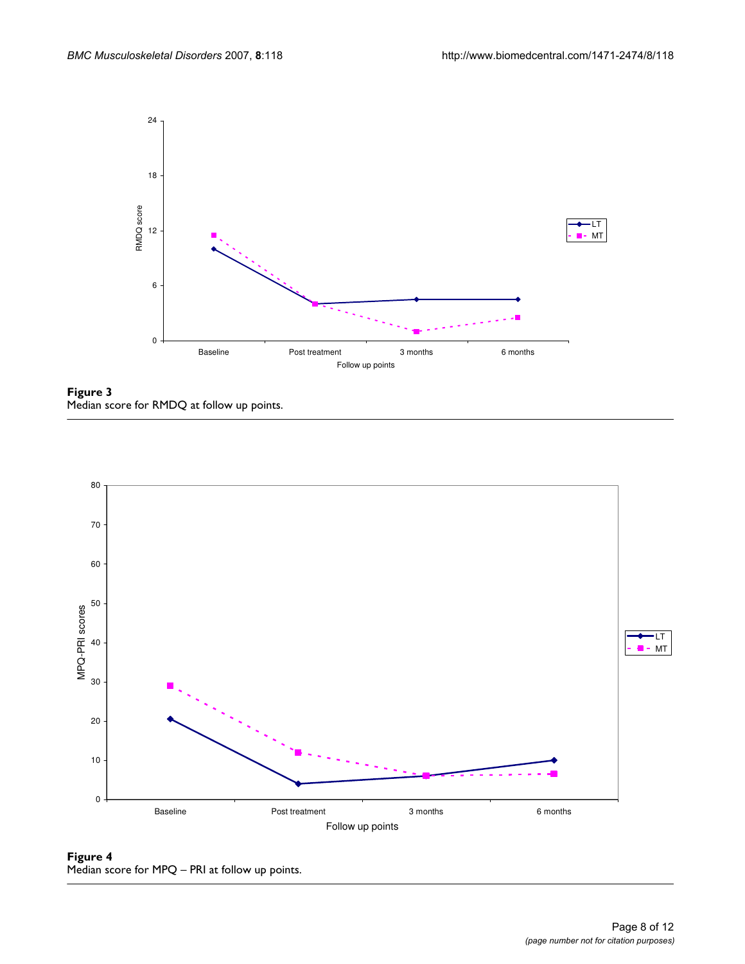

**Figure 3** Median score for RMDQ at follow up points.



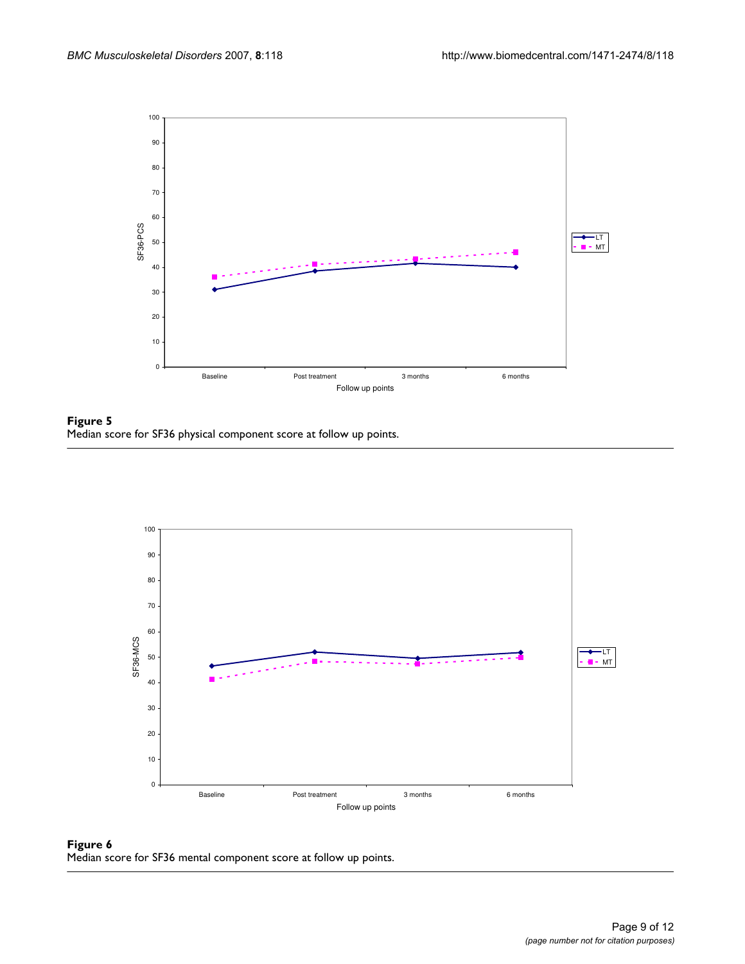

Figure 5 Median score for SF36 physical component score at follow up points.



Figure 6 Median score for SF36 mental component score at follow up points.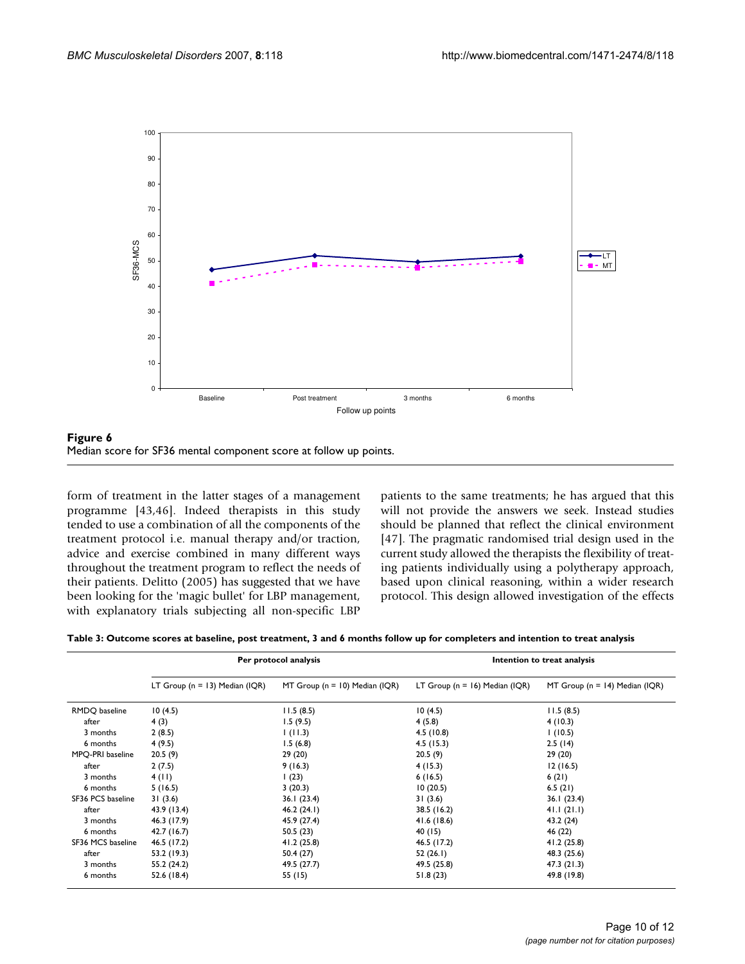

**Figure 6** Median score for SF36 mental component score at follow up points.

form of treatment in the latter stages of a management programme [43,46]. Indeed therapists in this study tended to use a combination of all the components of the treatment protocol i.e. manual therapy and/or traction, advice and exercise combined in many different ways throughout the treatment program to reflect the needs of their patients. Delitto (2005) has suggested that we have been looking for the 'magic bullet' for LBP management, with explanatory trials subjecting all non-specific LBP

patients to the same treatments; he has argued that this will not provide the answers we seek. Instead studies should be planned that reflect the clinical environment [47]. The pragmatic randomised trial design used in the current study allowed the therapists the flexibility of treating patients individually using a polytherapy approach, based upon clinical reasoning, within a wider research protocol. This design allowed investigation of the effects

**Table 3: Outcome scores at baseline, post treatment, 3 and 6 months follow up for completers and intention to treat analysis**

|                   | Per protocol analysis              |                                    | Intention to treat analysis        |                                    |
|-------------------|------------------------------------|------------------------------------|------------------------------------|------------------------------------|
|                   | LT Group ( $n = 13$ ) Median (IQR) | MT Group ( $n = 10$ ) Median (IQR) | LT Group ( $n = 16$ ) Median (IQR) | MT Group ( $n = 14$ ) Median (IQR) |
| RMDQ baseline     | 10(4.5)                            | 11.5(8.5)                          | 10(4.5)                            | 11.5(8.5)                          |
| after             | 4(3)                               | 1.5(9.5)                           | 4(5.8)                             | 4(10.3)                            |
| 3 months          | 2(8.5)                             | (11.3)                             | 4.5(10.8)                          | 1(10.5)                            |
| 6 months          | 4(9.5)                             | 1.5(6.8)                           | 4.5(15.3)                          | 2.5(14)                            |
| MPQ-PRI baseline  | 20.5(9)                            | 29(20)                             | 20.5(9)                            | 29(20)                             |
| after             | 2(7.5)                             | 9(16.3)                            | 4(15.3)                            | 12(16.5)                           |
| 3 months          | 4(11)                              | 1(23)                              | 6(16.5)                            | 6(21)                              |
| 6 months          | 5(16.5)                            | 3(20.3)                            | 10(20.5)                           | 6.5(21)                            |
| SF36 PCS baseline | 31(3.6)                            | 36.1(23.4)                         | 31(3.6)                            | 36.1(23.4)                         |
| after             | 43.9 (13.4)                        | 46.2(24.1)                         | 38.5 (16.2)                        | 41.1(21.1)                         |
| 3 months          | 46.3 (17.9)                        | 45.9 (27.4)                        | 41.6 (18.6)                        | 43.2 (24)                          |
| 6 months          | 42.7 (16.7)                        | 50.5(23)                           | 40 (15)                            | 46 (22)                            |
| SF36 MCS baseline | 46.5 (17.2)                        | 41.2(25.8)                         | 46.5 (17.2)                        | 41.2(25.8)                         |
| after             | 53.2 (19.3)                        | 50.4 (27)                          | 52(26.1)                           | 48.3 (25.6)                        |
| 3 months          | 55.2 (24.2)                        | 49.5 (27.7)                        | 49.5 (25.8)                        | 47.3(21.3)                         |
| 6 months          | 52.6 (18.4)                        | 55 (15)                            | 51.8(23)                           | 49.8 (19.8)                        |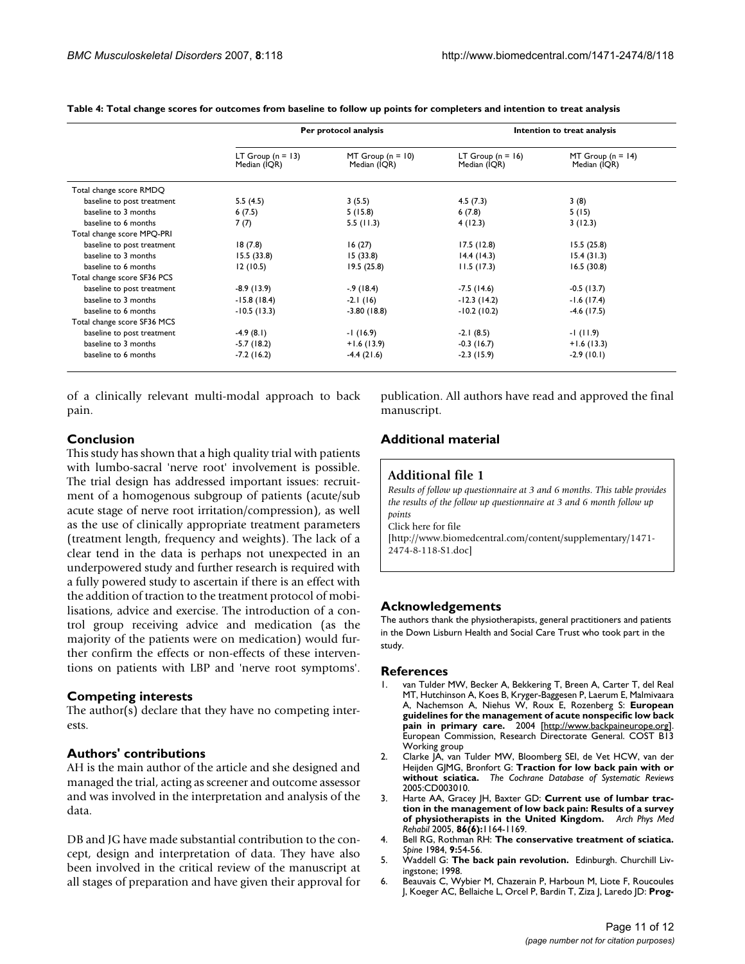|                             | Per protocol analysis               |                                     | Intention to treat analysis           |                                       |
|-----------------------------|-------------------------------------|-------------------------------------|---------------------------------------|---------------------------------------|
|                             | LT Group $(n = 13)$<br>Median (IQR) | MT Group $(n = 10)$<br>Median (IQR) | LT Group ( $n = 16$ )<br>Median (IQR) | MT Group ( $n = 14$ )<br>Median (IQR) |
| Total change score RMDQ     |                                     |                                     |                                       |                                       |
| baseline to post treatment  | 5.5(4.5)                            | 3(5.5)                              | 4.5(7.3)                              | 3(8)                                  |
| baseline to 3 months        | 6(7.5)                              | 5(15.8)                             | 6(7.8)                                | 5(15)                                 |
| baseline to 6 months        | 7(7)                                | 5.5(11.3)                           | 4(12.3)                               | 3(12.3)                               |
| Total change score MPQ-PRI  |                                     |                                     |                                       |                                       |
| baseline to post treatment  | 18(7.8)                             | 16(27)                              | 17.5(12.8)                            | 15.5(25.8)                            |
| baseline to 3 months        | 15.5(33.8)                          | 15(33.8)                            | 14.4(14.3)                            | 15.4(31.3)                            |
| baseline to 6 months        | 12(10.5)                            | 19.5(25.8)                          | 11.5(17.3)                            | 16.5(30.8)                            |
| Total change score SF36 PCS |                                     |                                     |                                       |                                       |
| baseline to post treatment  | $-8.9(13.9)$                        | $-9(18.4)$                          | $-7.5(14.6)$                          | $-0.5(13.7)$                          |
| baseline to 3 months        | $-15.8(18.4)$                       | $-2.1(16)$                          | $-12.3(14.2)$                         | $-1.6(17.4)$                          |
| baseline to 6 months        | $-10.5(13.3)$                       | $-3.80(18.8)$                       | $-10.2(10.2)$                         | $-4.6$ (17.5)                         |
| Total change score SF36 MCS |                                     |                                     |                                       |                                       |
| baseline to post treatment  | $-4.9(8.1)$                         | $-1(16.9)$                          | $-2.1(8.5)$                           | $-1(11.9)$                            |
| baseline to 3 months        | $-5.7(18.2)$                        | $+1.6(13.9)$                        | $-0.3(16.7)$                          | $+1.6(13.3)$                          |
| baseline to 6 months        | $-7.2(16.2)$                        | $-4.4(21.6)$                        | $-2.3(15.9)$                          | $-2.9(10.1)$                          |

**Table 4: Total change scores for outcomes from baseline to follow up points for completers and intention to treat analysis**

of a clinically relevant multi-modal approach to back pain.

publication. All authors have read and approved the final manuscript.

#### **Conclusion**

This study has shown that a high quality trial with patients with lumbo-sacral 'nerve root' involvement is possible. The trial design has addressed important issues: recruitment of a homogenous subgroup of patients (acute/sub acute stage of nerve root irritation/compression), as well as the use of clinically appropriate treatment parameters (treatment length, frequency and weights). The lack of a clear tend in the data is perhaps not unexpected in an underpowered study and further research is required with a fully powered study to ascertain if there is an effect with the addition of traction to the treatment protocol of mobilisations, advice and exercise. The introduction of a control group receiving advice and medication (as the majority of the patients were on medication) would further confirm the effects or non-effects of these interventions on patients with LBP and 'nerve root symptoms'.

#### **Competing interests**

The author(s) declare that they have no competing interests.

#### **Authors' contributions**

AH is the main author of the article and she designed and managed the trial, acting as screener and outcome assessor and was involved in the interpretation and analysis of the data.

DB and JG have made substantial contribution to the concept, design and interpretation of data. They have also been involved in the critical review of the manuscript at all stages of preparation and have given their approval for

#### **Additional material**

#### **Additional file 1**

*Results of follow up questionnaire at 3 and 6 months. This table provides the results of the follow up questionnaire at 3 and 6 month follow up points* Click here for file [\[http://www.biomedcentral.com/content/supplementary/1471-](http://www.biomedcentral.com/content/supplementary/1471-2474-8-118-S1.doc) 2474-8-118-S1.doc]

#### **Acknowledgements**

The authors thank the physiotherapists, general practitioners and patients in the Down Lisburn Health and Social Care Trust who took part in the study.

#### **References**

- van Tulder MW, Becker A, Bekkering T, Breen A, Carter T, del Real MT, Hutchinson A, Koes B, Kryger-Baggesen P, Laerum E, Malmivaara A, Nachemson A, Niehus W, Roux E, Rozenberg S: **European guidelines for the management of acute nonspecific low back pain in primary care.** 2004 [\[http://www.backpaineurope.org\]](http://www.backpaineurope.org). European Commission, Research Directorate General. COST B13 Working group
- 2. Clarke JA, van Tulder MW, Bloomberg SEI, de Vet HCW, van der Heijden GJMG, Bronfort G: **[Traction for low back pain with or](http://www.ncbi.nlm.nih.gov/entrez/query.fcgi?cmd=Retrieve&db=PubMed&dopt=Abstract&list_uids=16235311) [without sciatica.](http://www.ncbi.nlm.nih.gov/entrez/query.fcgi?cmd=Retrieve&db=PubMed&dopt=Abstract&list_uids=16235311)** *The Cochrane Database of Systematic Reviews* 2005:CD003010.
- 3. Harte AA, Gracey JH, Baxter GD: **Current use of lumbar traction in the management of low back pain: Results of a survey of physiotherapists in the United Kingdom.** *Arch Phys Med Rehabil* 2005, **86(6):**1164-1169.
- 4. Bell RG, Rothman RH: **[The conservative treatment of sciatica.](http://www.ncbi.nlm.nih.gov/entrez/query.fcgi?cmd=Retrieve&db=PubMed&dopt=Abstract&list_uids=6719258)** *Spine* 1984, **9:**54-56.
- 5. Waddell G: **The back pain revolution.** Edinburgh. Churchill Livingstone; 1998.
- 6. Beauvais C, Wybier M, Chazerain P, Harboun M, Liote F, Roucoules J, Koeger AC, Bellaiche L, Orcel P, Bardin T, Ziza J, Laredo JD: **[Prog](http://www.ncbi.nlm.nih.gov/entrez/query.fcgi?cmd=Retrieve&db=PubMed&dopt=Abstract&list_uids=12713858)-**